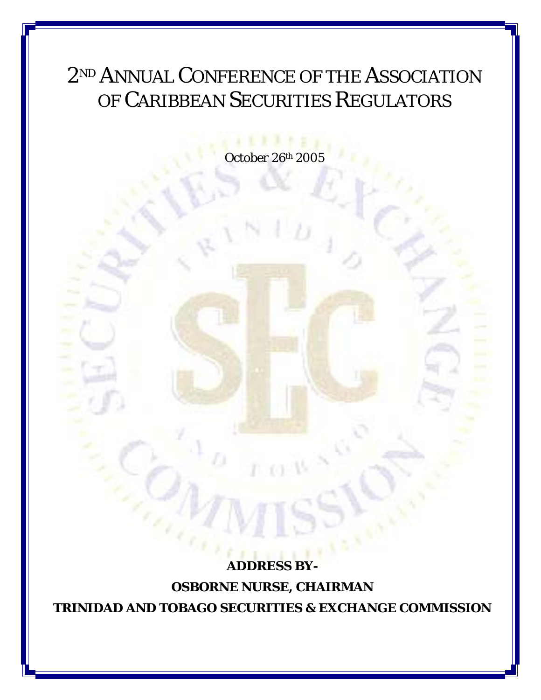## 2<sup>ND</sup> ANNUAL CONFERENCE OF THE ASSOCIATION OF CARIBBEAN SECURITIES REGULATORS

*October 26th 2005* 

*ADDRESS BY-***OSBORNE NURSE, CHAIRMAN TRINIDAD AND TOBAGO SECURITIES & EXCHANGE COMMISSION**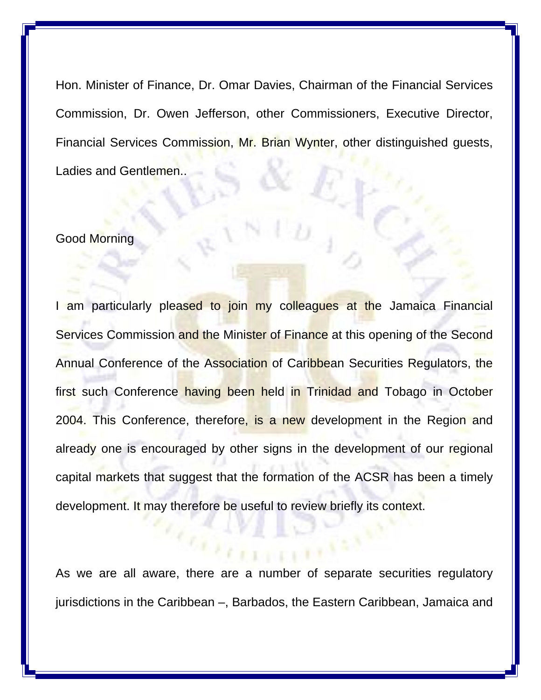Hon. Minister of Finance, Dr. Omar Davies, Chairman of the Financial Services Commission, Dr. Owen Jefferson, other Commissioners, Executive Director, Financial Services Commission, Mr. Brian Wynter, other distinguished guests, Ladies and Gentlemen..

## Good Morning

I am particularly pleased to join my colleagues at the Jamaica Financial Services Commission and the Minister of Finance at this opening of the Second Annual Conference of the Association of Caribbean Securities Regulators, the first such Conference having been held in Trinidad and Tobago in October 2004. This Conference, therefore, is a new development in the Region and already one is encouraged by other signs in the development of our regional capital markets that suggest that the formation of the ACSR has been a timely development. It may therefore be useful to review briefly its context.

As we are all aware, there are a number of separate securities regulatory jurisdictions in the Caribbean –, Barbados, the Eastern Caribbean, Jamaica and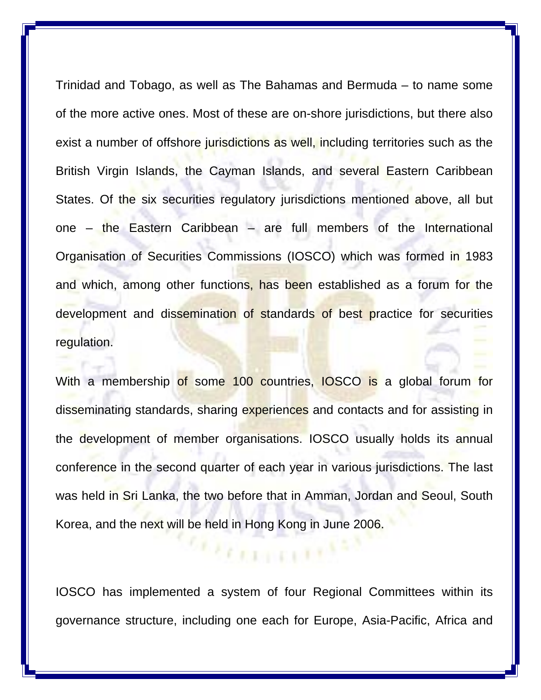Trinidad and Tobago, as well as The Bahamas and Bermuda – to name some of the more active ones. Most of these are on-shore jurisdictions, but there also exist a number of offshore jurisdictions as well, including territories such as the British Virgin Islands, the Cayman Islands, and several Eastern Caribbean States. Of the six securities regulatory jurisdictions mentioned above, all but one – the Eastern Caribbean – are full members of the International Organisation of Securities Commissions (IOSCO) which was formed in 1983 and which, among other functions, has been established as a forum for the development and dissemination of standards of best practice for securities regulation.

With a membership of some 100 countries, IOSCO is a global forum for disseminating standards, sharing experiences and contacts and for assisting in the development of member organisations. IOSCO usually holds its annual conference in the second quarter of each year in various jurisdictions. The last was held in Sri Lanka, the two before that in Amman, Jordan and Seoul, South Korea, and the next will be held in Hong Kong in June 2006.

IOSCO has implemented a system of four Regional Committees within its governance structure, including one each for Europe, Asia-Pacific, Africa and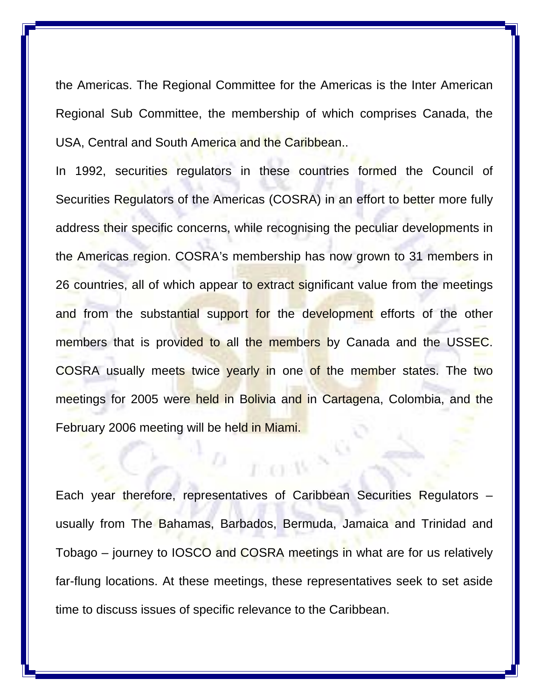the Americas. The Regional Committee for the Americas is the Inter American Regional Sub Committee, the membership of which comprises Canada, the USA, Central and South America and the Caribbean..

In 1992, securities regulators in these countries formed the Council of Securities Regulators of the Americas (COSRA) in an effort to better more fully address their specific concerns, while recognising the peculiar developments in the Americas region. COSRA's membership has now grown to 31 members in 26 countries, all of which appear to extract significant value from the meetings and from the substantial support for the development efforts of the other members that is provided to all the members by Canada and the USSEC. COSRA usually meets twice yearly in one of the member states. The two meetings for 2005 were held in Bolivia and in Cartagena, Colombia, and the February 2006 meeting will be held in Miami.

Each year therefore, representatives of Caribbean Securities Regulators – usually from The Bahamas, Barbados, Bermuda, Jamaica and Trinidad and Tobago – journey to IOSCO and COSRA meetings in what are for us relatively far-flung locations. At these meetings, these representatives seek to set aside time to discuss issues of specific relevance to the Caribbean.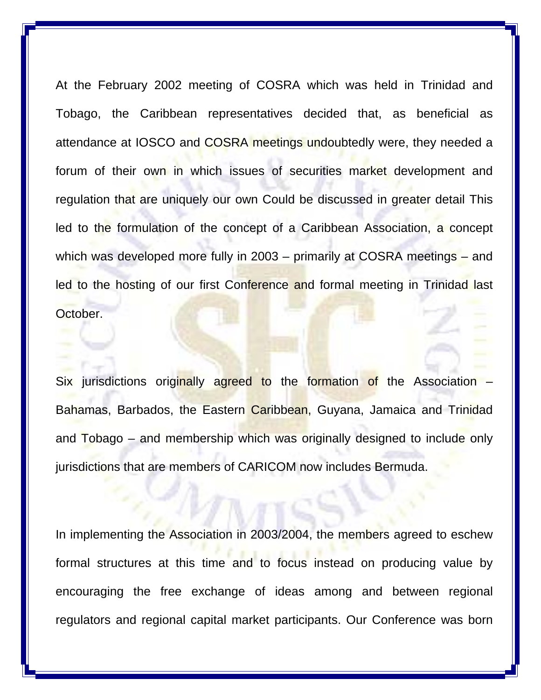At the February 2002 meeting of COSRA which was held in Trinidad and Tobago, the Caribbean representatives decided that, as beneficial as attendance at IOSCO and COSRA meetings undoubtedly were, they needed a forum of their own in which issues of securities market development and regulation that are uniquely our own Could be discussed in greater detail This led to the formulation of the concept of a Caribbean Association, a concept which was developed more fully in 2003 – primarily at COSRA meetings – and led to the hosting of our first Conference and formal meeting in Trinidad last October.

Six jurisdictions originally agreed to the formation of the Association Bahamas, Barbados, the Eastern Caribbean, Guyana, Jamaica and Trinidad and Tobago – and membership which was originally designed to include only jurisdictions that are members of CARICOM now includes Bermuda.

In implementing the Association in 2003/2004, the members agreed to eschew formal structures at this time and to focus instead on producing value by encouraging the free exchange of ideas among and between regional regulators and regional capital market participants. Our Conference was born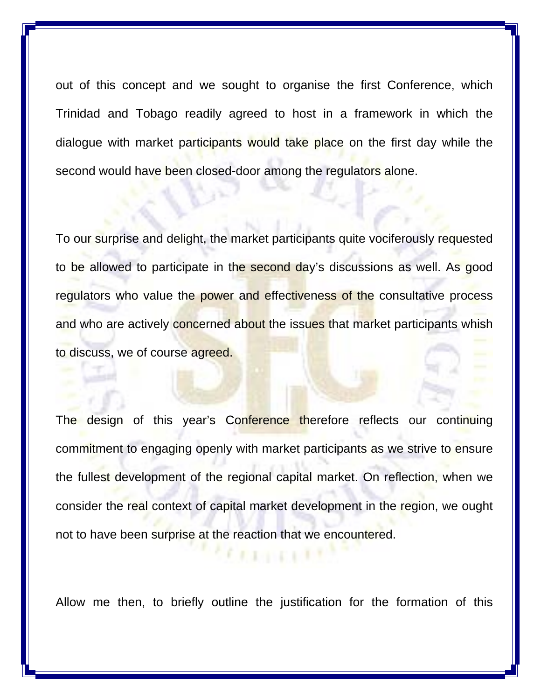out of this concept and we sought to organise the first Conference, which Trinidad and Tobago readily agreed to host in a framework in which the dialogue with market participants would take place on the first day while the second would have been closed-door among the regulators alone.

To our surprise and delight, the market participants quite vociferously requested to be allowed to participate in the second day's discussions as well. As good regulators who value the power and effectiveness of the consultative process and who are actively concerned about the issues that market participants whish to discuss, we of course agreed.

The design of this year's Conference therefore reflects our continuing commitment to engaging openly with market participants as we strive to ensure the fullest development of the regional capital market. On reflection, when we consider the real context of capital market development in the region, we ought not to have been surprise at the reaction that we encountered.

Allow me then, to briefly outline the justification for the formation of this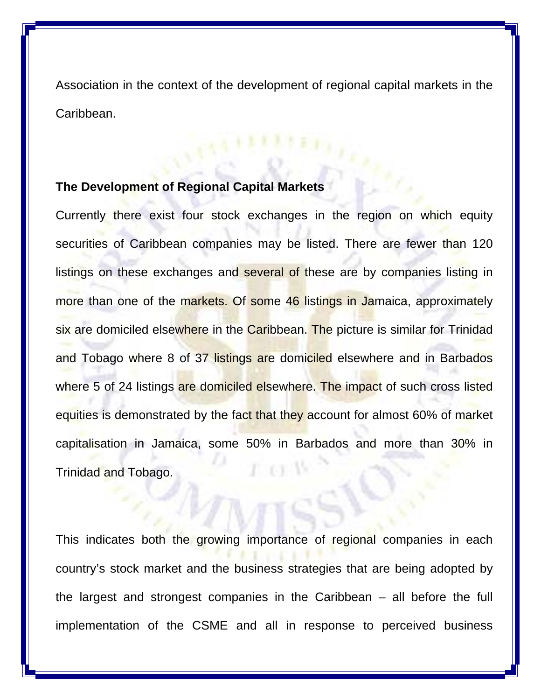Association in the context of the development of regional capital markets in the Caribbean.

## **The Development of Regional Capital Markets**

Currently there exist four stock exchanges in the region on which equity securities of Caribbean companies may be listed. There are fewer than 120 listings on these exchanges and several of these are by companies listing in more than one of the markets. Of some 46 listings in Jamaica, approximately six are domiciled elsewhere in the Caribbean. The picture is similar for Trinidad and Tobago where 8 of 37 listings are domiciled elsewhere and in Barbados where 5 of 24 listings are domiciled elsewhere. The impact of such cross listed equities is demonstrated by the fact that they account for almost 60% of market capitalisation in Jamaica, some 50% in Barbados and more than 30% in Trinidad and Tobago.

This indicates both the growing importance of regional companies in each country's stock market and the business strategies that are being adopted by the largest and strongest companies in the Caribbean – all before the full implementation of the CSME and all in response to perceived business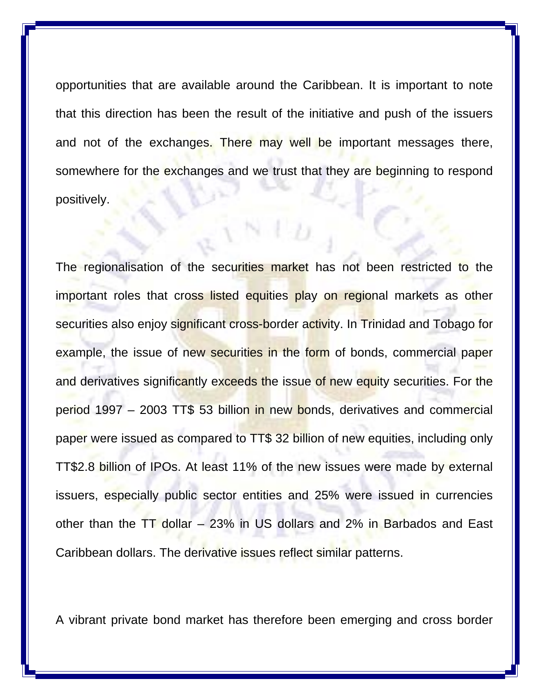opportunities that are available around the Caribbean. It is important to note that this direction has been the result of the initiative and push of the issuers and not of the exchanges. There may well be important messages there, somewhere for the exchanges and we trust that they are beginning to respond positively.

The regionalisation of the securities market has not been restricted to the important roles that cross listed equities play on regional markets as other securities also enjoy significant cross-border activity. In Trinidad and Tobago for example, the issue of new securities in the form of bonds, commercial paper and derivatives significantly exceeds the issue of new equity securities. For the period 1997 – 2003 TT\$ 53 billion in new bonds, derivatives and commercial paper were issued as compared to TT\$ 32 billion of new equities, including only TT\$2.8 billion of IPOs. At least 11% of the new issues were made by external issuers, especially public sector entities and 25% were issued in currencies other than the TT dollar – 23% in US dollars and 2% in Barbados and East Caribbean dollars. The derivative issues reflect similar patterns.

A vibrant private bond market has therefore been emerging and cross border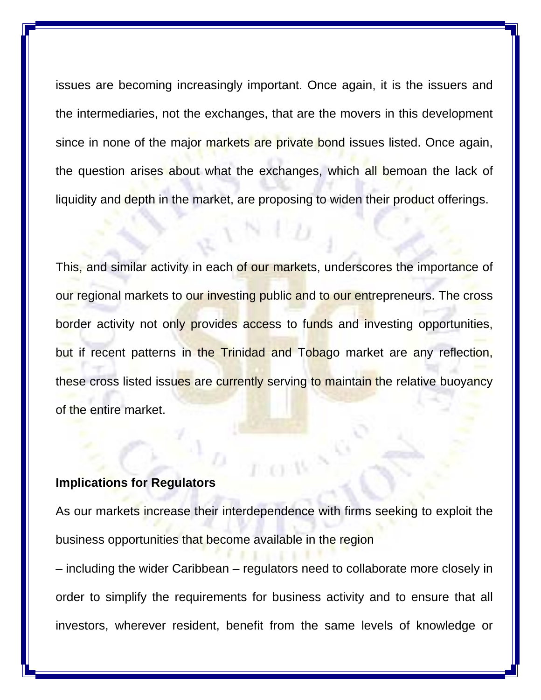issues are becoming increasingly important. Once again, it is the issuers and the intermediaries, not the exchanges, that are the movers in this development since in none of the major markets are private bond issues listed. Once again, the question arises about what the exchanges, which all bemoan the lack of liquidity and depth in the market, are proposing to widen their product offerings.

This, and similar activity in each of our markets, underscores the importance of our regional markets to our investing public and to our entrepreneurs. The cross border activity not only provides access to funds and investing opportunities, but if recent patterns in the Trinidad and Tobago market are any reflection, these cross listed issues are currently serving to maintain the relative buoyancy of the entire market.

## **Implications for Regulators**

As our markets increase their interdependence with firms seeking to exploit the business opportunities that become available in the region

– including the wider Caribbean – regulators need to collaborate more closely in order to simplify the requirements for business activity and to ensure that all investors, wherever resident, benefit from the same levels of knowledge or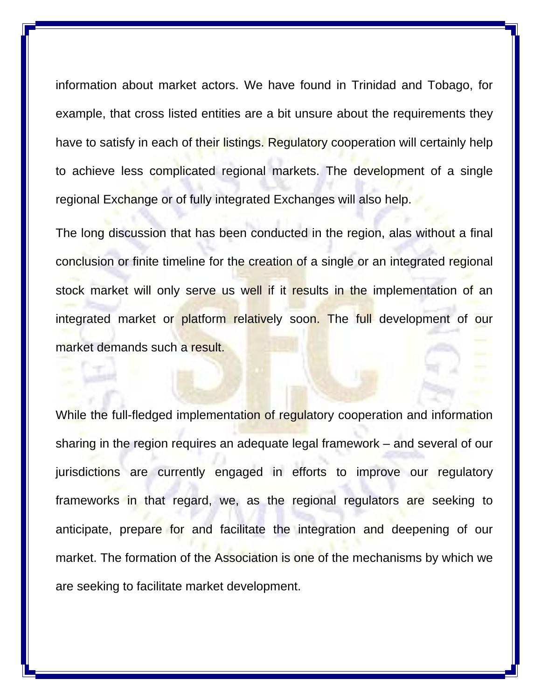information about market actors. We have found in Trinidad and Tobago, for example, that cross listed entities are a bit unsure about the requirements they have to satisfy in each of their listings. Regulatory cooperation will certainly help to achieve less complicated regional markets. The development of a single regional Exchange or of fully integrated Exchanges will also help.

The long discussion that has been conducted in the region, alas without a final conclusion or finite timeline for the creation of a single or an integrated regional stock market will only serve us well if it results in the implementation of an integrated market or platform relatively soon. The full development of our market demands such a result.

While the full-fledged implementation of regulatory cooperation and information sharing in the region requires an adequate legal framework – and several of our jurisdictions are currently engaged in efforts to improve our regulatory frameworks in that regard, we, as the regional regulators are seeking to anticipate, prepare for and facilitate the integration and deepening of our market. The formation of the Association is one of the mechanisms by which we are seeking to facilitate market development.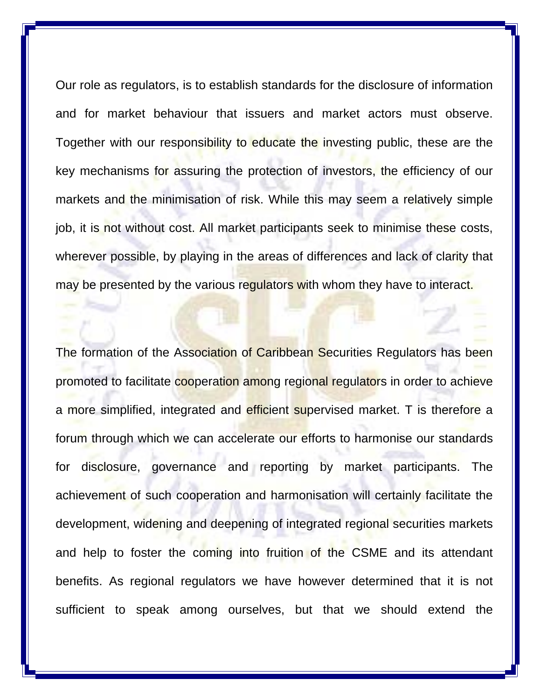Our role as regulators, is to establish standards for the disclosure of information and for market behaviour that issuers and market actors must observe. Together with our responsibility to educate the investing public, these are the key mechanisms for assuring the protection of investors, the efficiency of our markets and the minimisation of risk. While this may seem a relatively simple job, it is not without cost. All market participants seek to minimise these costs, wherever possible, by playing in the areas of differences and lack of clarity that may be presented by the various regulators with whom they have to interact.

The formation of the Association of Caribbean Securities Regulators has been promoted to facilitate cooperation among regional regulators in order to achieve a more simplified, integrated and efficient supervised market. T is therefore a forum through which we can accelerate our efforts to harmonise our standards for disclosure, governance and reporting by market participants. The achievement of such cooperation and harmonisation will certainly facilitate the development, widening and deepening of integrated regional securities markets and help to foster the coming into fruition of the CSME and its attendant benefits. As regional regulators we have however determined that it is not sufficient to speak among ourselves, but that we should extend the